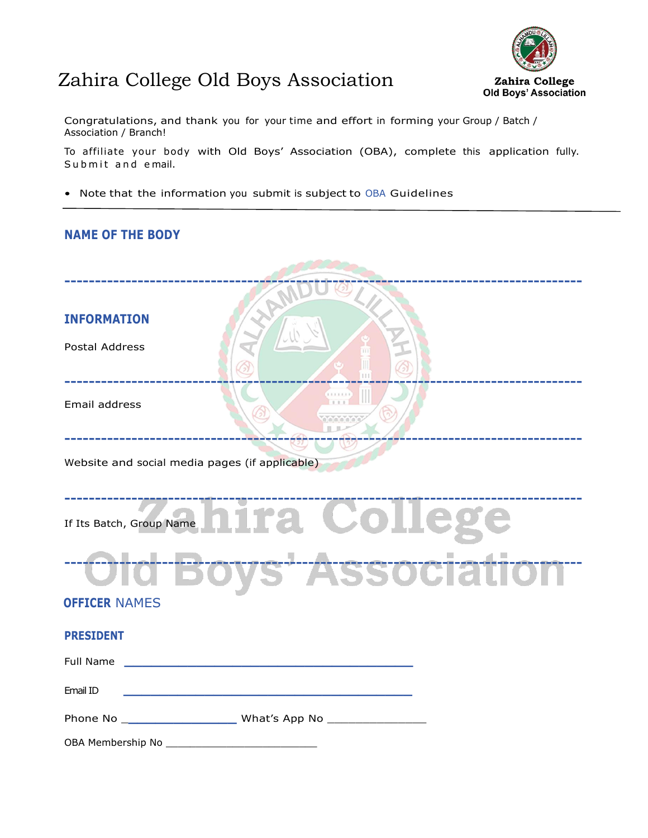## Zahira College Old Boys Association



Congratulations, and thank you for your time and effort in forming your Group / Batch / Association / Branch!

To affiliate your body with Old Boys' Association (OBA), complete this application fully. Submit and email.

• Note that the information you submit is subject to [OBA](https://www.rotary.org/en/privacy-policy) Guidelines

## **NAME OF THE BODY**

| <b>INFORMATION</b><br><b>Postal Address</b>                                                                                                                                                                                   |  |  |  |
|-------------------------------------------------------------------------------------------------------------------------------------------------------------------------------------------------------------------------------|--|--|--|
| Email address                                                                                                                                                                                                                 |  |  |  |
| Website and social media pages (if applicable)                                                                                                                                                                                |  |  |  |
| If Its Batch, Group Name hira Colleg<br>Old Boys' Association                                                                                                                                                                 |  |  |  |
| <b>OFFICER NAMES</b>                                                                                                                                                                                                          |  |  |  |
| <b>PRESIDENT</b>                                                                                                                                                                                                              |  |  |  |
| Full Name and the state of the state of the state of the state of the state of the state of the state of the state of the state of the state of the state of the state of the state of the state of the state of the state of |  |  |  |
| Email ID                                                                                                                                                                                                                      |  |  |  |
|                                                                                                                                                                                                                               |  |  |  |
|                                                                                                                                                                                                                               |  |  |  |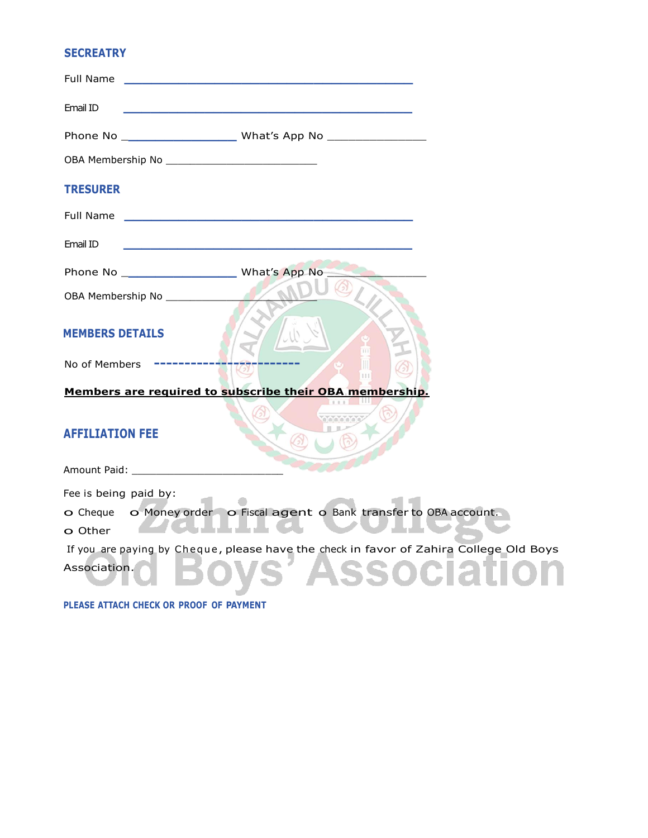## **SECREATRY**

| Full Name                                               |                                                                                        |  |  |
|---------------------------------------------------------|----------------------------------------------------------------------------------------|--|--|
| Email ID                                                |                                                                                        |  |  |
|                                                         |                                                                                        |  |  |
|                                                         |                                                                                        |  |  |
| <b>TRESURER</b>                                         |                                                                                        |  |  |
| Full Name                                               | <u> 1989 - Johann Stoff, amerikansk politiker (d. 1989)</u>                            |  |  |
| Email ID                                                |                                                                                        |  |  |
|                                                         |                                                                                        |  |  |
| OBA Membership No ______________                        |                                                                                        |  |  |
| <b>MEMBERS DETAILS</b>                                  |                                                                                        |  |  |
| No of Members                                           |                                                                                        |  |  |
| Members are required to subscribe their OBA membership. |                                                                                        |  |  |
| <b>AFFILIATION FEE</b>                                  |                                                                                        |  |  |
|                                                         |                                                                                        |  |  |
| Fee is being paid by:                                   |                                                                                        |  |  |
|                                                         | o Cheque o Money order o Fiscal agent o Bank transfer to OBA account.                  |  |  |
| o Other                                                 |                                                                                        |  |  |
|                                                         | If you are paying by Cheque, please have the check in favor of Zahira College Old Boys |  |  |
| Association.                                            |                                                                                        |  |  |

**PLEASE ATTACH CHECK OR PROOF OF PAYMENT**